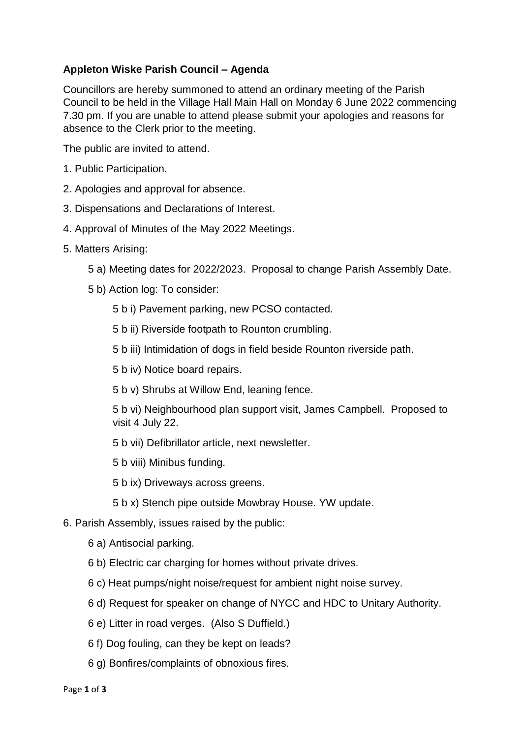## **Appleton Wiske Parish Council – Agenda**

Councillors are hereby summoned to attend an ordinary meeting of the Parish Council to be held in the Village Hall Main Hall on Monday 6 June 2022 commencing 7.30 pm. If you are unable to attend please submit your apologies and reasons for absence to the Clerk prior to the meeting.

The public are invited to attend.

- 1. Public Participation.
- 2. Apologies and approval for absence.
- 3. Dispensations and Declarations of Interest.
- 4. Approval of Minutes of the May 2022 Meetings.
- 5. Matters Arising:
	- 5 a) Meeting dates for 2022/2023. Proposal to change Parish Assembly Date.
	- 5 b) Action log: To consider:
		- 5 b i) Pavement parking, new PCSO contacted.
		- 5 b ii) Riverside footpath to Rounton crumbling.
		- 5 b iii) Intimidation of dogs in field beside Rounton riverside path.
		- 5 b iv) Notice board repairs.
		- 5 b v) Shrubs at Willow End, leaning fence.

5 b vi) Neighbourhood plan support visit, James Campbell. Proposed to visit 4 July 22.

- 5 b vii) Defibrillator article, next newsletter.
- 5 b viii) Minibus funding.
- 5 b ix) Driveways across greens.
- 5 b x) Stench pipe outside Mowbray House. YW update.
- 6. Parish Assembly, issues raised by the public:
	- 6 a) Antisocial parking.
	- 6 b) Electric car charging for homes without private drives.
	- 6 c) Heat pumps/night noise/request for ambient night noise survey.
	- 6 d) Request for speaker on change of NYCC and HDC to Unitary Authority.
	- 6 e) Litter in road verges. (Also S Duffield.)
	- 6 f) Dog fouling, can they be kept on leads?
	- 6 g) Bonfires/complaints of obnoxious fires.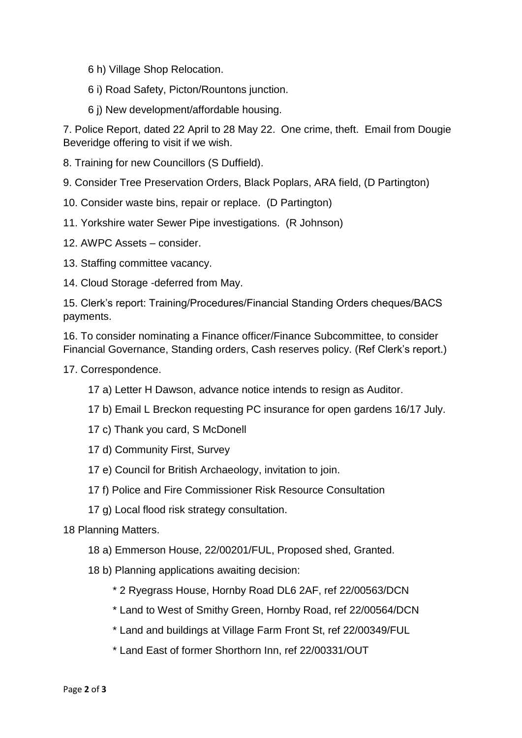6 h) Village Shop Relocation.

6 i) Road Safety, Picton/Rountons junction.

6 j) New development/affordable housing.

7. Police Report, dated 22 April to 28 May 22. One crime, theft. Email from Dougie Beveridge offering to visit if we wish.

8. Training for new Councillors (S Duffield).

9. Consider Tree Preservation Orders, Black Poplars, ARA field, (D Partington)

10. Consider waste bins, repair or replace. (D Partington)

11. Yorkshire water Sewer Pipe investigations. (R Johnson)

12. AWPC Assets – consider.

13. Staffing committee vacancy.

14. Cloud Storage -deferred from May.

15. Clerk's report: Training/Procedures/Financial Standing Orders cheques/BACS payments.

16. To consider nominating a Finance officer/Finance Subcommittee, to consider Financial Governance, Standing orders, Cash reserves policy. (Ref Clerk's report.)

17. Correspondence.

17 a) Letter H Dawson, advance notice intends to resign as Auditor.

17 b) Email L Breckon requesting PC insurance for open gardens 16/17 July.

17 c) Thank you card, S McDonell

- 17 d) Community First, Survey
- 17 e) Council for British Archaeology, invitation to join.
- 17 f) Police and Fire Commissioner Risk Resource Consultation
- 17 g) Local flood risk strategy consultation.

18 Planning Matters.

18 a) Emmerson House, 22/00201/FUL, Proposed shed, Granted.

18 b) Planning applications awaiting decision:

\* 2 Ryegrass House, Hornby Road DL6 2AF, ref 22/00563/DCN

- \* Land to West of Smithy Green, Hornby Road, ref 22/00564/DCN
- \* Land and buildings at Village Farm Front St, ref 22/00349/FUL
- \* Land East of former Shorthorn Inn, ref 22/00331/OUT